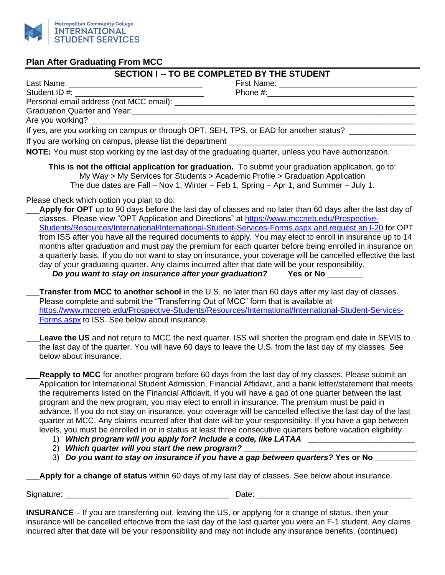

## **Plan After Graduating From MCC**

## **SECTION I -- TO BE COMPLETED BY THE STUDENT**

Last Name: \_\_\_\_\_\_\_\_\_\_\_\_\_\_\_\_\_\_\_\_\_\_\_\_\_\_\_\_\_\_ First Name: \_\_\_\_\_\_\_\_\_\_\_\_\_\_\_\_\_\_\_\_\_\_\_\_\_\_\_\_\_\_\_ Student ID #: \_\_\_\_\_\_\_\_\_\_\_\_\_\_\_\_\_\_\_\_\_\_\_\_\_\_\_\_\_ Phone #:\_\_\_\_\_\_\_\_\_\_\_\_\_\_\_\_\_\_\_\_\_\_\_\_\_\_\_\_\_\_\_\_\_

Personal email address (not MCC email): \_\_\_\_\_\_\_\_\_\_\_\_\_\_\_\_\_\_\_\_\_\_\_\_\_\_\_\_\_\_\_\_\_\_\_\_\_\_\_\_\_\_\_\_\_\_\_\_\_\_\_\_\_\_

Graduation Quarter and Year: Are you working?

If yes, are you working on campus or through OPT, SEH, TPS, or EAD for another status? \_\_\_\_\_\_\_\_\_\_\_\_\_ If you are working on campus, please list the department

**NOTE:** You must stop working by the last day of the graduating quarter, unless you have authorization.

**This is not the official application for graduation.** To submit your graduation application, go to: My Way > My Services for Students > Academic Profile > Graduation Application The due dates are Fall – Nov 1, Winter – Feb 1, Spring – Apr 1, and Summer – July 1.

Please check which option you plan to do:

Apply for OPT up to 90 days before the last day of classes and no later than 60 days after the last day of classes. Please view "OPT Application and Directions" at [https://www.mccneb.edu/Prospective-](https://www.mccneb.edu/Prospective-Students/Resources/International/International-Student-Services-Forms.aspx%20and%20request%20an%20I-20)[Students/Resources/International/International-Student-Services-Forms.aspx and request an I-20](https://www.mccneb.edu/Prospective-Students/Resources/International/International-Student-Services-Forms.aspx%20and%20request%20an%20I-20) for OPT from ISS after you have all the required documents to apply. You may elect to enroll in insurance up to 14 months after graduation and must pay the premium for each quarter before being enrolled in insurance on a quarterly basis. If you do not want to stay on insurance, your coverage will be cancelled effective the last day of your graduating quarter. Any claims incurred after that date will be your responsibility.

*Do you want to stay on insurance after your graduation?* **Yes or No \_\_\_\_\_\_\_\_**

\_\_\_**Transfer from MCC to another school** in the U.S. no later than 60 days after my last day of classes. Please complete and submit the "Transferring Out of MCC" form that is available at [https://www.mccneb.edu/Prospective-Students/Resources/International/International-Student-Services-](https://www.mccneb.edu/Prospective-Students/Resources/International/International-Student-Services-Forms.aspx)[Forms.aspx](https://www.mccneb.edu/Prospective-Students/Resources/International/International-Student-Services-Forms.aspx) to ISS. See below about insurance.

Leave the US and not return to MCC the next quarter. ISS will shorten the program end date in SEVIS to the last day of the quarter. You will have 60 days to leave the U.S. from the last day of my classes. See below about insurance.

Reapply to MCC for another program before 60 days from the last day of my classes. Please submit an Application for International Student Admission, Financial Affidavit, and a bank letter/statement that meets the requirements listed on the Financial Affidavit. If you will have a gap of one quarter between the last program and the new program, you may elect to enroll in insurance. The premium must be paid in advance. If you do not stay on insurance, your coverage will be cancelled effective the last day of the last quarter at MCC. Any claims incurred after that date will be your responsibility. If you have a gap between levels, you must be enrolled in or in status at least three consecutive quarters before vacation eligibility.

- 1) *Which program will you apply for? Include a code, like LATAA* **\_\_\_\_\_\_\_\_\_\_\_\_\_\_\_\_\_\_\_\_\_\_\_\_**
- 2) *Which quarter will you start the new program?* **\_\_\_\_\_\_\_\_\_\_\_\_\_\_\_\_\_\_\_\_\_\_\_\_\_\_\_\_\_\_\_\_\_\_\_\_\_\_\_**
- 3) *Do you want to stay on insurance if you have a gap between quarters?* **Yes or No \_\_\_\_\_\_\_\_\_**

\_\_\_**Apply for a change of status** within 60 days of my last day of classes. See below about insurance.

Signature: \_\_\_\_\_\_\_\_\_\_\_\_\_\_\_\_\_\_\_\_\_\_\_\_\_\_\_\_\_\_\_\_\_\_\_\_\_ Date: \_\_\_\_\_\_\_\_\_\_\_\_\_\_\_\_\_\_\_\_\_\_\_\_\_\_\_\_\_\_\_\_\_\_\_

**INSURANCE** – If you are transferring out, leaving the US, or applying for a change of status, then your insurance will be cancelled effective from the last day of the last quarter you were an F-1 student. Any claims incurred after that date will be your responsibility and may not include any insurance benefits. (continued)